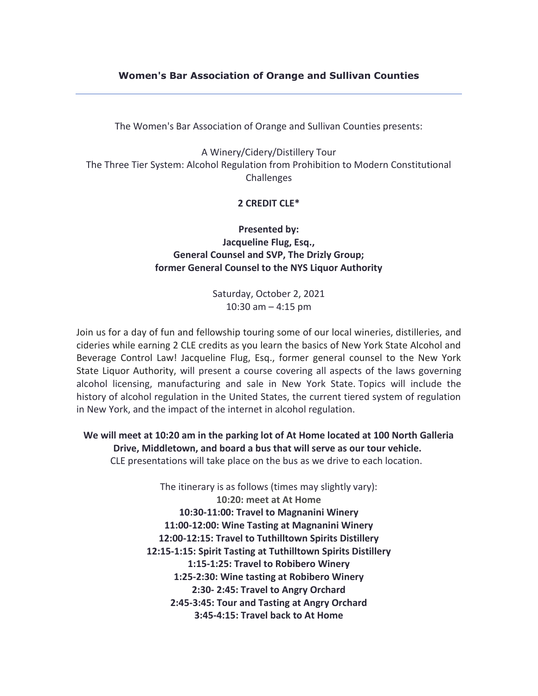## **Women's Bar Association of Orange and Sullivan Counties**

The Women's Bar Association of Orange and Sullivan Counties presents:

A Winery/Cidery/Distillery Tour The Three Tier System: Alcohol Regulation from Prohibition to Modern Constitutional **Challenges** 

## **2 CREDIT CLE\***

**Presented by: Jacqueline Flug, Esq., General Counsel and SVP, The Drizly Group; former General Counsel to the NYS Liquor Authority**

> Saturday, October 2, 2021 10:30 am – 4:15 pm

Join us for a day of fun and fellowship touring some of our local wineries, distilleries, and cideries while earning 2 CLE credits as you learn the basics of New York State Alcohol and Beverage Control Law! Jacqueline Flug, Esq., former general counsel to the New York State Liquor Authority, will present a course covering all aspects of the laws governing alcohol licensing, manufacturing and sale in New York State. Topics will include the history of alcohol regulation in the United States, the current tiered system of regulation in New York, and the impact of the internet in alcohol regulation.

**We will meet at 10:20 am in the parking lot of At Home located at 100 North Galleria Drive, Middletown, and board a bus that will serve as our tour vehicle.** CLE presentations will take place on the bus as we drive to each location.

> The itinerary is as follows (times may slightly vary): **10:20: meet at At Home 10:30-11:00: Travel to Magnanini Winery 11:00-12:00: Wine Tasting at Magnanini Winery 12:00-12:15: Travel to Tuthilltown Spirits Distillery 12:15-1:15: Spirit Tasting at Tuthilltown Spirits Distillery 1:15-1:25: Travel to Robibero Winery 1:25-2:30: Wine tasting at Robibero Winery 2:30- 2:45: Travel to Angry Orchard 2:45-3:45: Tour and Tasting at Angry Orchard 3:45-4:15: Travel back to At Home**